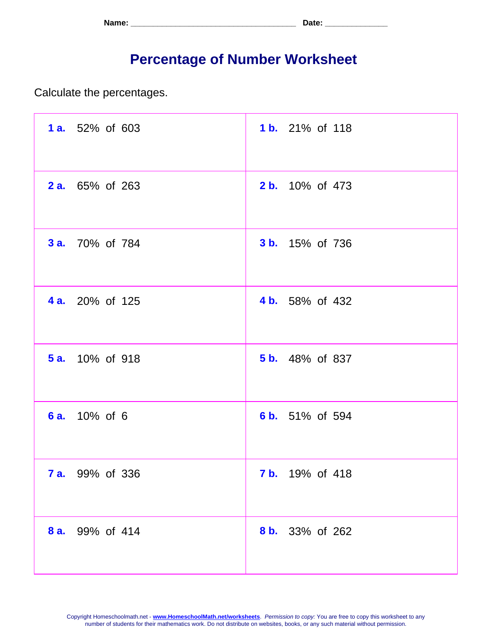| Name: | Tate. |
|-------|-------|
|-------|-------|

## **Percentage of Number Worksheet**

Calculate the percentages.

| <b>1 a.</b> 52% of 603 | 1 b. 21% of 118        |
|------------------------|------------------------|
| <b>2 a.</b> 65% of 263 | 2 b. 10% of 473        |
| <b>3 a.</b> 70% of 784 | <b>3 b.</b> 15% of 736 |
| <b>4 a.</b> 20% of 125 | 4 b. 58% of 432        |
| <b>5 a.</b> 10% of 918 | <b>5 b.</b> 48% of 837 |
| 6 a. 10% of 6          | 6 b. 51% of 594        |
| <b>7 a.</b> 99% of 336 | <b>7 b.</b> 19% of 418 |
| 8 a. 99% of 414        | 8 b. 33% of 262        |